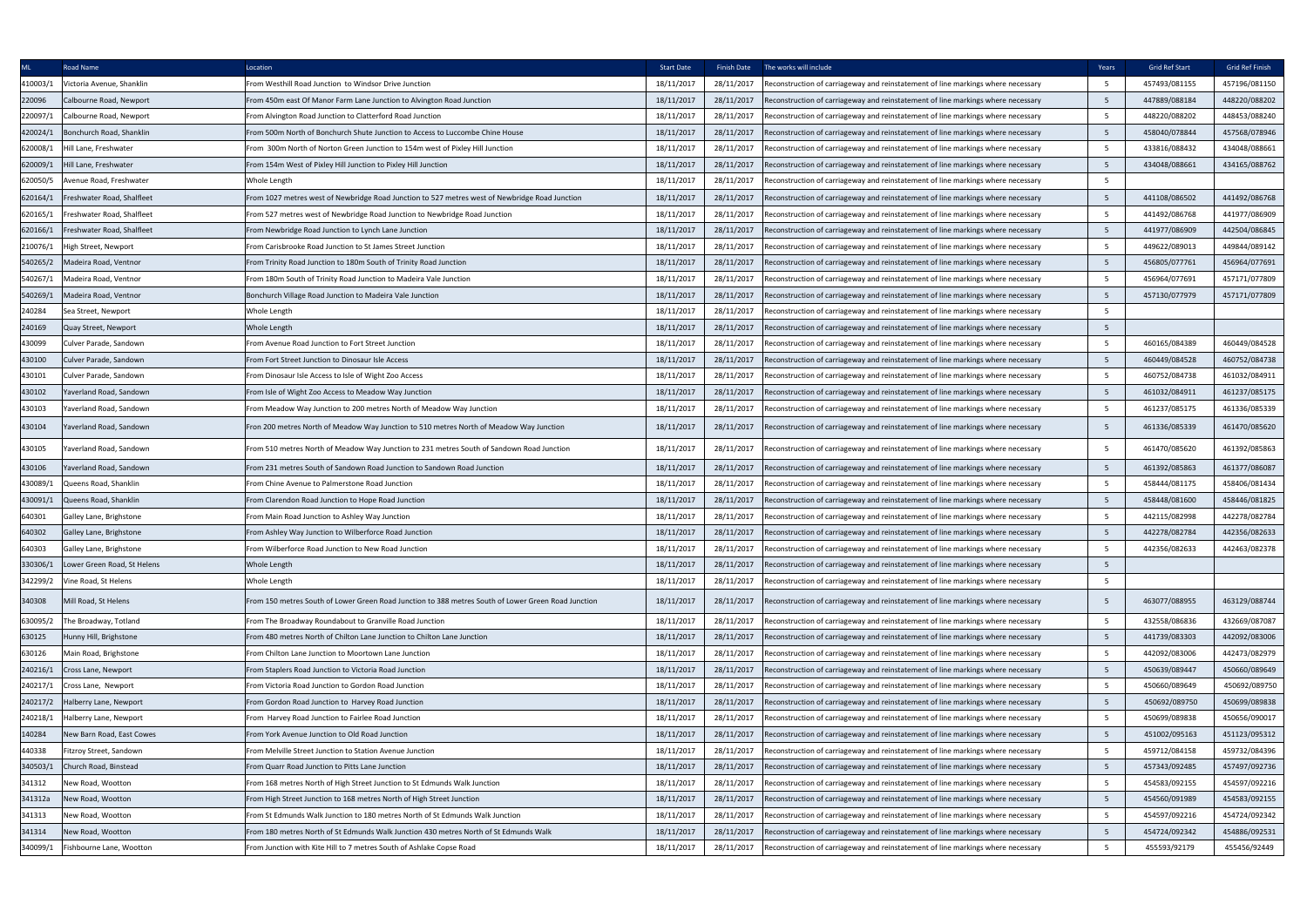| <b>ML</b> | Road Name                   | Location                                                                                            | <b>Start Date</b> |            | Finish Date The works will include                                               | Years           | Grid Ref Start | Grid Ref Finish |
|-----------|-----------------------------|-----------------------------------------------------------------------------------------------------|-------------------|------------|----------------------------------------------------------------------------------|-----------------|----------------|-----------------|
| 410003/1  | Victoria Avenue, Shanklin   | From Westhill Road Junction to Windsor Drive Junction                                               | 18/11/2017        | 28/11/2017 | Reconstruction of carriageway and reinstatement of line markings where necessary | $5\overline{)}$ | 457493/081155  | 457196/081150   |
| 220096    | Calbourne Road, Newport     | From 450m east Of Manor Farm Lane Junction to Alvington Road Junction                               | 18/11/2017        | 28/11/2017 | Reconstruction of carriageway and reinstatement of line markings where necessary | 5 <sup>5</sup>  | 447889/088184  | 448220/088202   |
| 220097/1  | Calbourne Road, Newport     | From Alvington Road Junction to Clatterford Road Junction                                           | 18/11/2017        | 28/11/2017 | Reconstruction of carriageway and reinstatement of line markings where necessary | $5\overline{)}$ | 448220/088202  | 448453/088240   |
| 420024/1  | Bonchurch Road, Shanklin    | From 500m North of Bonchurch Shute Junction to Access to Luccombe Chine House                       | 18/11/2017        | 28/11/2017 | Reconstruction of carriageway and reinstatement of line markings where necessary | 5 <sup>5</sup>  | 458040/078844  | 457568/078946   |
| 620008/1  | Hill Lane, Freshwater       | From 300m North of Norton Green Junction to 154m west of Pixley Hill Junction                       | 18/11/2017        | 28/11/2017 | Reconstruction of carriageway and reinstatement of line markings where necessary | 5               | 433816/088432  | 434048/088661   |
| 620009/1  | Hill Lane, Freshwater       | From 154m West of Pixley Hill Junction to Pixley Hill Junction                                      | 18/11/2017        | 28/11/2017 | Reconstruction of carriageway and reinstatement of line markings where necessary | 5               | 434048/088661  | 434165/088762   |
| 620050/5  | Avenue Road, Freshwater     | Whole Length                                                                                        | 18/11/2017        | 28/11/2017 | Reconstruction of carriageway and reinstatement of line markings where necessary | $5\overline{)}$ |                |                 |
| 620164/1  | Freshwater Road, Shalfleet  | From 1027 metres west of Newbridge Road Junction to 527 metres west of Newbridge Road Junction      | 18/11/2017        | 28/11/2017 | Reconstruction of carriageway and reinstatement of line markings where necessary | 5               | 441108/086502  | 441492/086768   |
| 620165/1  | reshwater Road, Shalfleet   | From 527 metres west of Newbridge Road Junction to Newbridge Road Junction                          | 18/11/2017        | 28/11/2017 | Reconstruction of carriageway and reinstatement of line markings where necessary | $5\overline{)}$ | 441492/086768  | 441977/086909   |
| 620166/1  | Freshwater Road, Shalfleet  | From Newbridge Road Junction to Lynch Lane Junction                                                 | 18/11/2017        | 28/11/2017 | econstruction of carriageway and reinstatement of line markings where necessary  | 5               | 441977/086909  | 442504/086845   |
| 210076/1  | ligh Street, Newport        | From Carisbrooke Road Junction to St James Street Junction                                          | 18/11/2017        | 28/11/2017 | Reconstruction of carriageway and reinstatement of line markings where necessary | 5 <sup>5</sup>  | 449622/089013  | 449844/089142   |
| 540265/2  | Madeira Road, Ventnor       | From Trinity Road Junction to 180m South of Trinity Road Junction                                   | 18/11/2017        | 28/11/2017 | Reconstruction of carriageway and reinstatement of line markings where necessary | 5               | 456805/077761  | 456964/077691   |
| 540267/1  | Madeira Road, Ventnor       | From 180m South of Trinity Road Junction to Madeira Vale Junction                                   | 18/11/2017        | 28/11/2017 | Reconstruction of carriageway and reinstatement of line markings where necessary | 5 <sup>5</sup>  | 456964/077691  | 457171/077809   |
| 540269/1  | Madeira Road, Ventnor       | Bonchurch Village Road Junction to Madeira Vale Junction                                            | 18/11/2017        | 28/11/2017 | econstruction of carriageway and reinstatement of line markings where necessary  | 5               | 457130/077979  | 457171/077809   |
| 240284    | Sea Street, Newport         | Whole Length                                                                                        | 18/11/2017        | 28/11/2017 | Reconstruction of carriageway and reinstatement of line markings where necessary | $5\overline{)}$ |                |                 |
| 240169    | Quay Street, Newport        | Whole Length                                                                                        | 18/11/2017        | 28/11/2017 | Reconstruction of carriageway and reinstatement of line markings where necessary | 5               |                |                 |
| 430099    | Culver Parade, Sandown      | From Avenue Road Junction to Fort Street Junction                                                   | 18/11/2017        | 28/11/2017 | Reconstruction of carriageway and reinstatement of line markings where necessary | 5 <sup>5</sup>  | 460165/084389  | 460449/084528   |
| 430100    | Culver Parade, Sandown      | From Fort Street Junction to Dinosaur Isle Access                                                   | 18/11/2017        | 28/11/2017 | Reconstruction of carriageway and reinstatement of line markings where necessary | 5               | 460449/084528  | 460752/084738   |
| 430101    | Culver Parade, Sandown      | From Dinosaur Isle Access to Isle of Wight Zoo Access                                               | 18/11/2017        | 28/11/2017 | Reconstruction of carriageway and reinstatement of line markings where necessary | $5\overline{)}$ | 460752/084738  | 461032/084911   |
| 430102    | Yaverland Road, Sandown     | From Isle of Wight Zoo Access to Meadow Way Junction                                                | 18/11/2017        | 28/11/2017 | Reconstruction of carriageway and reinstatement of line markings where necessary | 5               | 461032/084911  | 461237/085175   |
| 430103    | Yaverland Road, Sandown     | From Meadow Way Junction to 200 metres North of Meadow Way Junction                                 | 18/11/2017        | 28/11/2017 | Reconstruction of carriageway and reinstatement of line markings where necessary | 5               | 461237/085175  | 461336/085339   |
| 430104    | Yaverland Road, Sandown     | Fron 200 metres North of Meadow Way Junction to 510 metres North of Meadow Way Junction             | 18/11/2017        | 28/11/2017 | Reconstruction of carriageway and reinstatement of line markings where necessary | 5               | 461336/085339  | 461470/085620   |
| 430105    | Yaverland Road, Sandown     | From 510 metres North of Meadow Way Junction to 231 metres South of Sandown Road Junction           | 18/11/2017        | 28/11/2017 | Reconstruction of carriageway and reinstatement of line markings where necessary | 5               | 461470/085620  | 461392/085863   |
| 430106    | Yaverland Road, Sandown     | From 231 metres South of Sandown Road Junction to Sandown Road Junction                             | 18/11/2017        | 28/11/2017 | Reconstruction of carriageway and reinstatement of line markings where necessary | 5 <sup>5</sup>  | 461392/085863  | 461377/086087   |
| 430089/1  | Queens Road, Shanklin       | From Chine Avenue to Palmerstone Road Junction                                                      | 18/11/2017        | 28/11/2017 | Reconstruction of carriageway and reinstatement of line markings where necessary | $5\overline{)}$ | 458444/081175  | 458406/081434   |
| 430091/1  | Queens Road, Shanklin       | From Clarendon Road Junction to Hope Road Junction                                                  | 18/11/2017        | 28/11/2017 | Reconstruction of carriageway and reinstatement of line markings where necessary | $5\overline{)}$ | 458448/081600  | 458446/081825   |
| 640301    | Galley Lane, Brighstone     | From Main Road Junction to Ashley Way Junction                                                      | 18/11/2017        | 28/11/2017 | Reconstruction of carriageway and reinstatement of line markings where necessary | 5               | 442115/082998  | 442278/082784   |
| 640302    | Galley Lane, Brighstone     | From Ashley Way Junction to Wilberforce Road Junction                                               | 18/11/2017        | 28/11/2017 | Reconstruction of carriageway and reinstatement of line markings where necessary | 5               | 442278/082784  | 442356/082633   |
| 640303    | Galley Lane, Brighstone     | From Wilberforce Road Junction to New Road Junction                                                 | 18/11/2017        | 28/11/2017 | Reconstruction of carriageway and reinstatement of line markings where necessary | $\mathbf{r}$    | 442356/082633  | 442463/082378   |
| 330306/1  | Lower Green Road, St Helens | Whole Length                                                                                        | 18/11/2017        | 28/11/2017 | Reconstruction of carriageway and reinstatement of line markings where necessary | 5               |                |                 |
| 342299/2  | Vine Road, St Helens        | Whole Length                                                                                        | 18/11/2017        | 28/11/2017 | Reconstruction of carriageway and reinstatement of line markings where necessary | 5               |                |                 |
| 340308    | Mill Road, St Helens        | From 150 metres South of Lower Green Road Junction to 388 metres South of Lower Green Road Junction | 18/11/2017        | 28/11/2017 | Reconstruction of carriageway and reinstatement of line markings where necessary | 5               | 463077/088955  | 463129/088744   |
| 630095/2  | The Broadway, Totland       | From The Broadway Roundabout to Granville Road Junction                                             | 18/11/2017        | 28/11/2017 | Reconstruction of carriageway and reinstatement of line markings where necessary | $5\overline{)}$ | 432558/086836  | 432669/087087   |
| 630125    | Hunny Hill, Brighstone      | From 480 metres North of Chilton Lane Junction to Chilton Lane Junction                             | 18/11/2017        | 28/11/2017 | econstruction of carriageway and reinstatement of line markings where necessary  | $5\overline{)}$ | 441739/083303  | 442092/083006   |
| 630126    | Main Road, Brighstone       | From Chilton Lane Junction to Moortown Lane Junction                                                | 18/11/2017        | 28/11/2017 | Reconstruction of carriageway and reinstatement of line markings where necessary | $5\overline{)}$ | 442092/083006  | 442473/082979   |
| 240216/1  | Cross Lane, Newport         | From Staplers Road Junction to Victoria Road Junction                                               | 18/11/2017        | 28/11/2017 | Reconstruction of carriageway and reinstatement of line markings where necessary | 5               | 450639/089447  | 450660/089649   |
| 240217/1  | Cross Lane, Newport         | From Victoria Road Junction to Gordon Road Junction                                                 | 18/11/2017        | 28/11/2017 | Reconstruction of carriageway and reinstatement of line markings where necessary | $5\overline{)}$ | 450660/089649  | 450692/089750   |
| 240217/2  | Halberry Lane, Newport      | From Gordon Road Junction to Harvey Road Junction                                                   | 18/11/2017        | 28/11/2017 | Reconstruction of carriageway and reinstatement of line markings where necessary | 5 <sup>5</sup>  | 450692/089750  | 450699/089838   |
| 240218/1  | Halberry Lane, Newport      | From Harvey Road Junction to Fairlee Road Junction                                                  | 18/11/2017        | 28/11/2017 | Reconstruction of carriageway and reinstatement of line markings where necessary | $5\overline{)}$ | 450699/089838  | 450656/090017   |
| 140284    | New Barn Road, East Cowes   | From York Avenue Junction to Old Road Junction                                                      | 18/11/2017        | 28/11/2017 | Reconstruction of carriageway and reinstatement of line markings where necessary | 5               | 451002/095163  | 451123/095312   |
| 440338    | Fitzroy Street, Sandown     | From Melville Street Junction to Station Avenue Junction                                            | 18/11/2017        | 28/11/2017 | Reconstruction of carriageway and reinstatement of line markings where necessary | $5\overline{)}$ | 459712/084158  | 459732/084396   |
| 340503/1  | Church Road, Binstead       | From Quarr Road Junction to Pitts Lane Junction                                                     | 18/11/2017        | 28/11/2017 | Reconstruction of carriageway and reinstatement of line markings where necessary | 5               | 457343/092485  | 457497/092736   |
| 341312    | <b>New Road, Wootton</b>    | From 168 metres North of High Street Junction to St Edmunds Walk Junction                           | 18/11/2017        | 28/11/2017 | Reconstruction of carriageway and reinstatement of line markings where necessary | $5\overline{)}$ | 454583/092155  | 454597/092216   |
| 341312a   | <b>New Road, Wootton</b>    | From High Street Junction to 168 metres North of High Street Junction                               | 18/11/2017        | 28/11/2017 | Reconstruction of carriageway and reinstatement of line markings where necessary | 5               | 454560/091989  | 454583/092155   |
| 341313    | New Road, Wootton           | From St Edmunds Walk Junction to 180 metres North of St Edmunds Walk Junction                       | 18/11/2017        | 28/11/2017 | Reconstruction of carriageway and reinstatement of line markings where necessary | 5 <sup>5</sup>  | 454597/092216  | 454724/092342   |
| 341314    | New Road, Wootton           | From 180 metres North of St Edmunds Walk Junction 430 metres North of St Edmunds Walk               | 18/11/2017        | 28/11/2017 | Reconstruction of carriageway and reinstatement of line markings where necessary | 5               | 454724/092342  | 454886/092531   |
| 340099/1  | Fishbourne Lane, Wootton    | From Junction with Kite Hill to 7 metres South of Ashlake Copse Road                                | 18/11/2017        | 28/11/2017 | Reconstruction of carriageway and reinstatement of line markings where necessary | 5               | 455593/92179   | 455456/92449    |